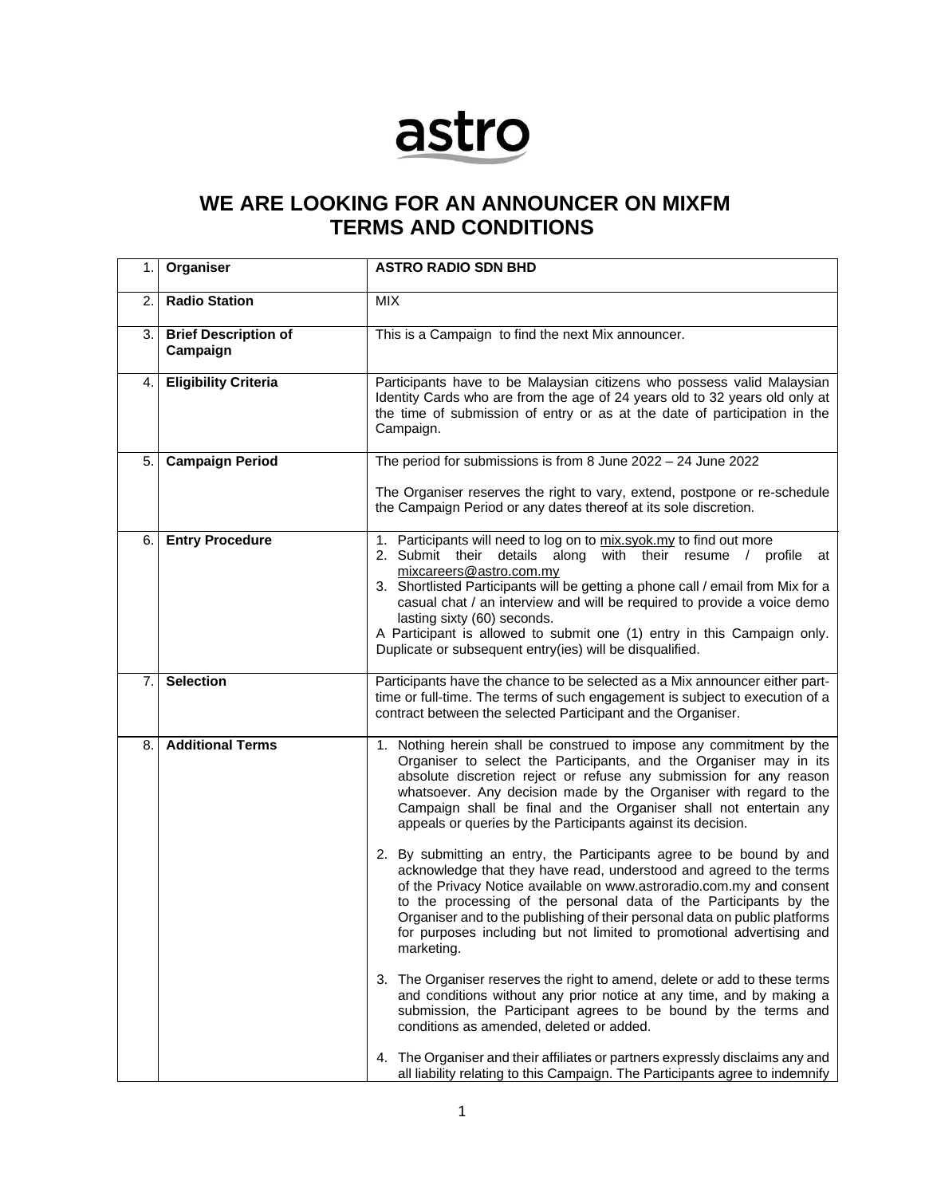## astro

## **WE ARE LOOKING FOR AN ANNOUNCER ON MIXFM TERMS AND CONDITIONS**

| 1.             | Organiser                               | <b>ASTRO RADIO SDN BHD</b>                                                                                                                                                                                                                                                                                                                                                                                                                                                                            |  |  |
|----------------|-----------------------------------------|-------------------------------------------------------------------------------------------------------------------------------------------------------------------------------------------------------------------------------------------------------------------------------------------------------------------------------------------------------------------------------------------------------------------------------------------------------------------------------------------------------|--|--|
| 2.             | <b>Radio Station</b>                    | <b>MIX</b>                                                                                                                                                                                                                                                                                                                                                                                                                                                                                            |  |  |
| 3.             | <b>Brief Description of</b><br>Campaign | This is a Campaign to find the next Mix announcer.                                                                                                                                                                                                                                                                                                                                                                                                                                                    |  |  |
| 4.             | <b>Eligibility Criteria</b>             | Participants have to be Malaysian citizens who possess valid Malaysian<br>Identity Cards who are from the age of 24 years old to 32 years old only at<br>the time of submission of entry or as at the date of participation in the<br>Campaign.                                                                                                                                                                                                                                                       |  |  |
| 5.             | <b>Campaign Period</b>                  | The period for submissions is from 8 June $2022 - 24$ June 2022<br>The Organiser reserves the right to vary, extend, postpone or re-schedule<br>the Campaign Period or any dates thereof at its sole discretion.                                                                                                                                                                                                                                                                                      |  |  |
| 6.             | <b>Entry Procedure</b>                  | 1. Participants will need to log on to mix.syok.my to find out more<br>2. Submit their details along with their resume / profile<br>at<br>mixcareers@astro.com.my<br>3. Shortlisted Participants will be getting a phone call / email from Mix for a<br>casual chat / an interview and will be required to provide a voice demo<br>lasting sixty (60) seconds.<br>A Participant is allowed to submit one (1) entry in this Campaign only.<br>Duplicate or subsequent entry(ies) will be disqualified. |  |  |
| 7 <sub>1</sub> | <b>Selection</b>                        | Participants have the chance to be selected as a Mix announcer either part-<br>time or full-time. The terms of such engagement is subject to execution of a<br>contract between the selected Participant and the Organiser.                                                                                                                                                                                                                                                                           |  |  |
| 8.             | <b>Additional Terms</b>                 | 1. Nothing herein shall be construed to impose any commitment by the<br>Organiser to select the Participants, and the Organiser may in its<br>absolute discretion reject or refuse any submission for any reason<br>whatsoever. Any decision made by the Organiser with regard to the<br>Campaign shall be final and the Organiser shall not entertain any<br>appeals or queries by the Participants against its decision.                                                                            |  |  |
|                |                                         | 2. By submitting an entry, the Participants agree to be bound by and<br>acknowledge that they have read, understood and agreed to the terms<br>of the Privacy Notice available on www.astroradio.com.my and consent<br>to the processing of the personal data of the Participants by the<br>Organiser and to the publishing of their personal data on public platforms<br>for purposes including but not limited to promotional advertising and<br>marketing.                                         |  |  |
|                |                                         | 3. The Organiser reserves the right to amend, delete or add to these terms<br>and conditions without any prior notice at any time, and by making a<br>submission, the Participant agrees to be bound by the terms and<br>conditions as amended, deleted or added.                                                                                                                                                                                                                                     |  |  |
|                |                                         | 4. The Organiser and their affiliates or partners expressly disclaims any and<br>all liability relating to this Campaign. The Participants agree to indemnify                                                                                                                                                                                                                                                                                                                                         |  |  |